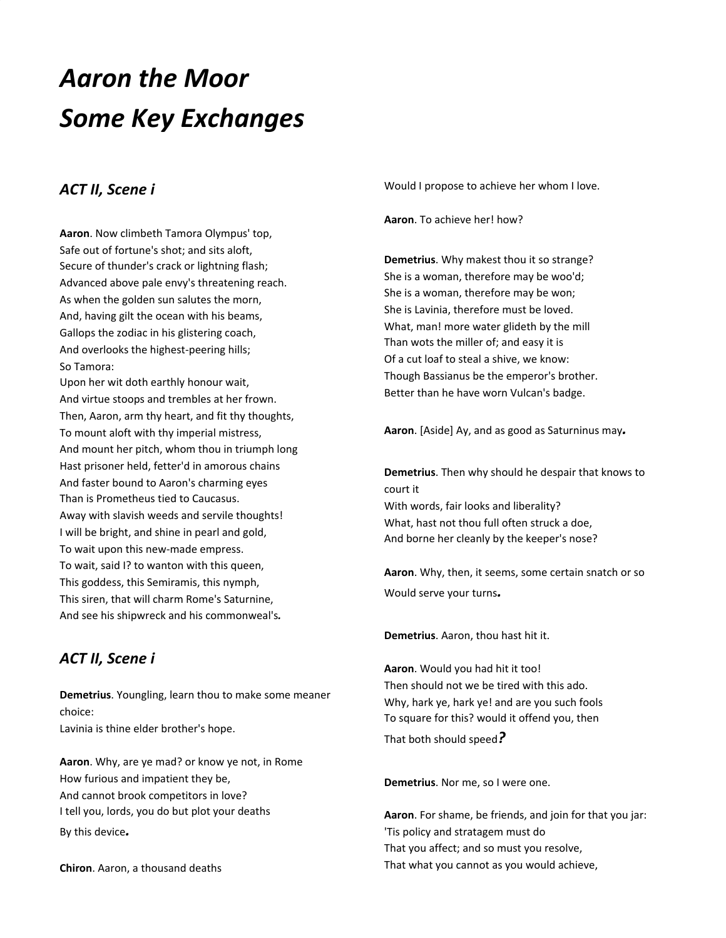# *Aaron the Moor Some Key Exchanges*

#### *ACT II, Scene i*

**Aaron**. Now climbeth Tamora Olympus' top, Safe out of fortune's shot; and sits aloft, Secure of thunder's crack or lightning flash; Advanced above pale envy's threatening reach. As when the golden sun salutes the morn, And, having gilt the ocean with his beams, Gallops the zodiac in his glistering coach, And overlooks the highest-peering hills; So Tamora:

Upon her wit doth earthly honour wait, And virtue stoops and trembles at her frown. Then, Aaron, arm thy heart, and fit thy thoughts, To mount aloft with thy imperial mistress, And mount her pitch, whom thou in triumph long Hast prisoner held, fetter'd in amorous chains And faster bound to Aaron's charming eyes Than is Prometheus tied to Caucasus. Away with slavish weeds and servile thoughts! I will be bright, and shine in pearl and gold, To wait upon this new-made empress. To wait, said I? to wanton with this queen, This goddess, this Semiramis, this nymph, This siren, that will charm Rome's Saturnine, And see his shipwreck and his commonweal's*.*

#### *ACT II, Scene i*

**Demetrius**. Youngling, learn thou to make some meaner choice: Lavinia is thine elder brother's hope.

**Aaron**. Why, are ye mad? or know ye not, in Rome How furious and impatient they be, And cannot brook competitors in love? I tell you, lords, you do but plot your deaths By this device*.*

**Chiron**. Aaron, a thousand deaths

Would I propose to achieve her whom I love.

**Aaron**. To achieve her! how?

**Demetrius**. Why makest thou it so strange? She is a woman, therefore may be woo'd; She is a woman, therefore may be won; She is Lavinia, therefore must be loved. What, man! more water glideth by the mill Than wots the miller of; and easy it is Of a cut loaf to steal a shive, we know: Though Bassianus be the emperor's brother. Better than he have worn Vulcan's badge.

**Aaron**. [Aside] Ay, and as good as Saturninus may*.*

**Demetrius**. Then why should he despair that knows to court it With words, fair looks and liberality? What, hast not thou full often struck a doe, And borne her cleanly by the keeper's nose?

**Aaron**. Why, then, it seems, some certain snatch or so Would serve your turns*.*

**Demetrius**. Aaron, thou hast hit it.

**Aaron**. Would you had hit it too! Then should not we be tired with this ado. Why, hark ye, hark ye! and are you such fools To square for this? would it offend you, then

That both should speed*?*

**Demetrius**. Nor me, so I were one.

**Aaron**. For shame, be friends, and join for that you jar: 'Tis policy and stratagem must do That you affect; and so must you resolve, That what you cannot as you would achieve,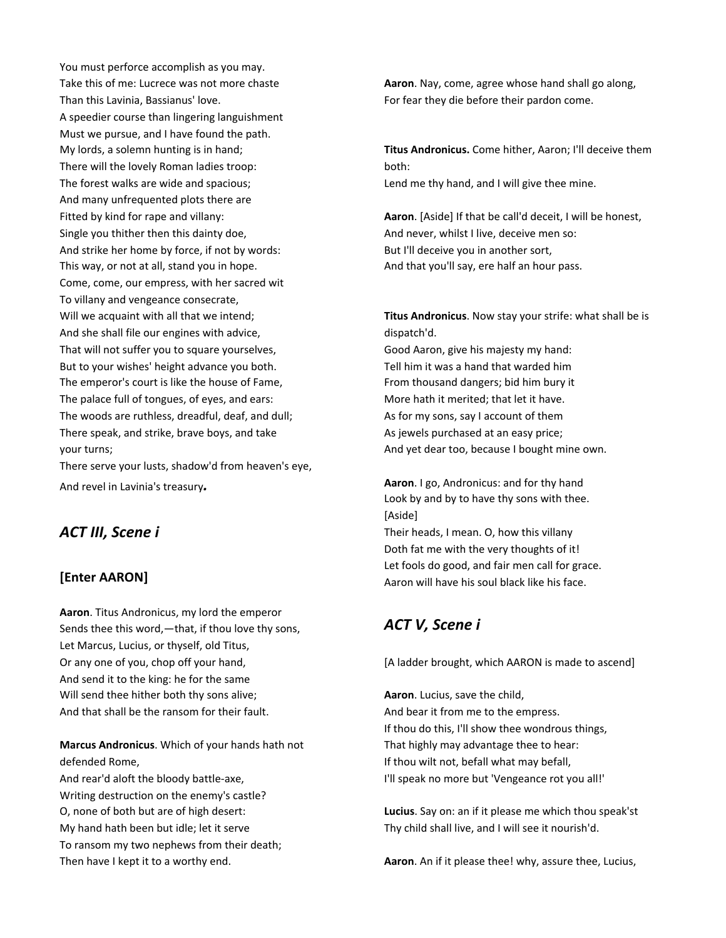You must perforce accomplish as you may. Take this of me: Lucrece was not more chaste Than this Lavinia, Bassianus' love. A speedier course than lingering languishment Must we pursue, and I have found the path. My lords, a solemn hunting is in hand; There will the lovely Roman ladies troop: The forest walks are wide and spacious; And many unfrequented plots there are Fitted by kind for rape and villany: Single you thither then this dainty doe, And strike her home by force, if not by words: This way, or not at all, stand you in hope. Come, come, our empress, with her sacred wit To villany and vengeance consecrate, Will we acquaint with all that we intend; And she shall file our engines with advice, That will not suffer you to square yourselves, But to your wishes' height advance you both. The emperor's court is like the house of Fame, The palace full of tongues, of eyes, and ears: The woods are ruthless, dreadful, deaf, and dull; There speak, and strike, brave boys, and take your turns;

There serve your lusts, shadow'd from heaven's eye, And revel in Lavinia's treasury*.*

#### *ACT III, Scene i*

#### **[Enter AARON]**

**Aaron**. Titus Andronicus, my lord the emperor Sends thee this word,—that, if thou love thy sons, Let Marcus, Lucius, or thyself, old Titus, Or any one of you, chop off your hand, And send it to the king: he for the same Will send thee hither both thy sons alive; And that shall be the ransom for their fault.

**Marcus Andronicus**. Which of your hands hath not defended Rome,

And rear'd aloft the bloody battle-axe, Writing destruction on the enemy's castle? O, none of both but are of high desert: My hand hath been but idle; let it serve To ransom my two nephews from their death; Then have I kept it to a worthy end.

**Aaron**. Nay, come, agree whose hand shall go along, For fear they die before their pardon come.

**Titus Andronicus.** Come hither, Aaron; I'll deceive them both: Lend me thy hand, and I will give thee mine.

**Aaron**. [Aside] If that be call'd deceit, I will be honest, And never, whilst I live, deceive men so: But I'll deceive you in another sort, And that you'll say, ere half an hour pass.

**Titus Andronicus**. Now stay your strife: what shall be is dispatch'd.

Good Aaron, give his majesty my hand: Tell him it was a hand that warded him From thousand dangers; bid him bury it More hath it merited; that let it have. As for my sons, say I account of them As jewels purchased at an easy price; And yet dear too, because I bought mine own.

**Aaron**. I go, Andronicus: and for thy hand Look by and by to have thy sons with thee. [Aside]

Their heads, I mean. O, how this villany Doth fat me with the very thoughts of it! Let fools do good, and fair men call for grace. Aaron will have his soul black like his face.

### *ACT V, Scene i*

[A ladder brought, which AARON is made to ascend]

**Aaron**. Lucius, save the child, And bear it from me to the empress. If thou do this, I'll show thee wondrous things, That highly may advantage thee to hear: If thou wilt not, befall what may befall, I'll speak no more but 'Vengeance rot you all!'

**Lucius**. Say on: an if it please me which thou speak'st Thy child shall live, and I will see it nourish'd.

**Aaron**. An if it please thee! why, assure thee, Lucius,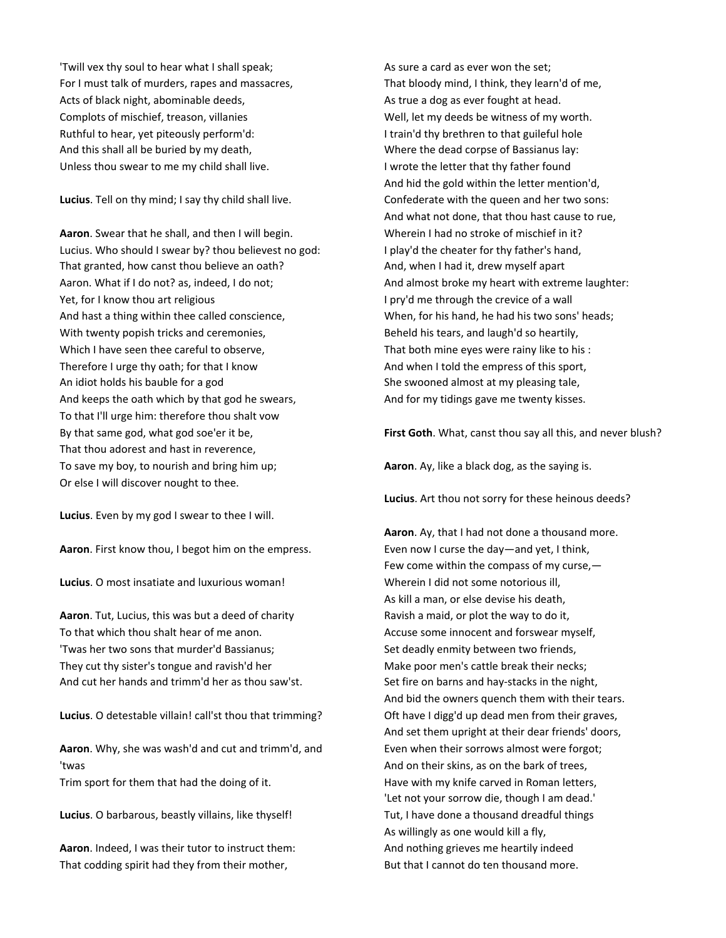'Twill vex thy soul to hear what I shall speak; For I must talk of murders, rapes and massacres, Acts of black night, abominable deeds, Complots of mischief, treason, villanies Ruthful to hear, yet piteously perform'd: And this shall all be buried by my death, Unless thou swear to me my child shall live.

**Lucius**. Tell on thy mind; I say thy child shall live.

**Aaron**. Swear that he shall, and then I will begin. Lucius. Who should I swear by? thou believest no god: That granted, how canst thou believe an oath? Aaron. What if I do not? as, indeed, I do not; Yet, for I know thou art religious And hast a thing within thee called conscience, With twenty popish tricks and ceremonies, Which I have seen thee careful to observe, Therefore I urge thy oath; for that I know An idiot holds his bauble for a god And keeps the oath which by that god he swears, To that I'll urge him: therefore thou shalt vow By that same god, what god soe'er it be, That thou adorest and hast in reverence, To save my boy, to nourish and bring him up; Or else I will discover nought to thee.

**Lucius**. Even by my god I swear to thee I will.

**Aaron**. First know thou, I begot him on the empress.

**Lucius**. O most insatiate and luxurious woman!

**Aaron**. Tut, Lucius, this was but a deed of charity To that which thou shalt hear of me anon. 'Twas her two sons that murder'd Bassianus; They cut thy sister's tongue and ravish'd her And cut her hands and trimm'd her as thou saw'st.

**Lucius**. O detestable villain! call'st thou that trimming?

**Aaron**. Why, she was wash'd and cut and trimm'd, and 'twas

Trim sport for them that had the doing of it.

**Lucius**. O barbarous, beastly villains, like thyself!

**Aaron**. Indeed, I was their tutor to instruct them: That codding spirit had they from their mother,

As sure a card as ever won the set; That bloody mind, I think, they learn'd of me, As true a dog as ever fought at head. Well, let my deeds be witness of my worth. I train'd thy brethren to that guileful hole Where the dead corpse of Bassianus lay: I wrote the letter that thy father found And hid the gold within the letter mention'd, Confederate with the queen and her two sons: And what not done, that thou hast cause to rue, Wherein I had no stroke of mischief in it? I play'd the cheater for thy father's hand, And, when I had it, drew myself apart And almost broke my heart with extreme laughter: I pry'd me through the crevice of a wall When, for his hand, he had his two sons' heads; Beheld his tears, and laugh'd so heartily, That both mine eyes were rainy like to his : And when I told the empress of this sport, She swooned almost at my pleasing tale, And for my tidings gave me twenty kisses.

**First Goth**. What, canst thou say all this, and never blush?

**Aaron**. Ay, like a black dog, as the saying is.

**Lucius**. Art thou not sorry for these heinous deeds?

**Aaron**. Ay, that I had not done a thousand more. Even now I curse the day—and yet, I think, Few come within the compass of my curse,— Wherein I did not some notorious ill, As kill a man, or else devise his death, Ravish a maid, or plot the way to do it, Accuse some innocent and forswear myself, Set deadly enmity between two friends, Make poor men's cattle break their necks; Set fire on barns and hay-stacks in the night, And bid the owners quench them with their tears. Oft have I digg'd up dead men from their graves, And set them upright at their dear friends' doors, Even when their sorrows almost were forgot; And on their skins, as on the bark of trees, Have with my knife carved in Roman letters, 'Let not your sorrow die, though I am dead.' Tut, I have done a thousand dreadful things As willingly as one would kill a fly, And nothing grieves me heartily indeed But that I cannot do ten thousand more.